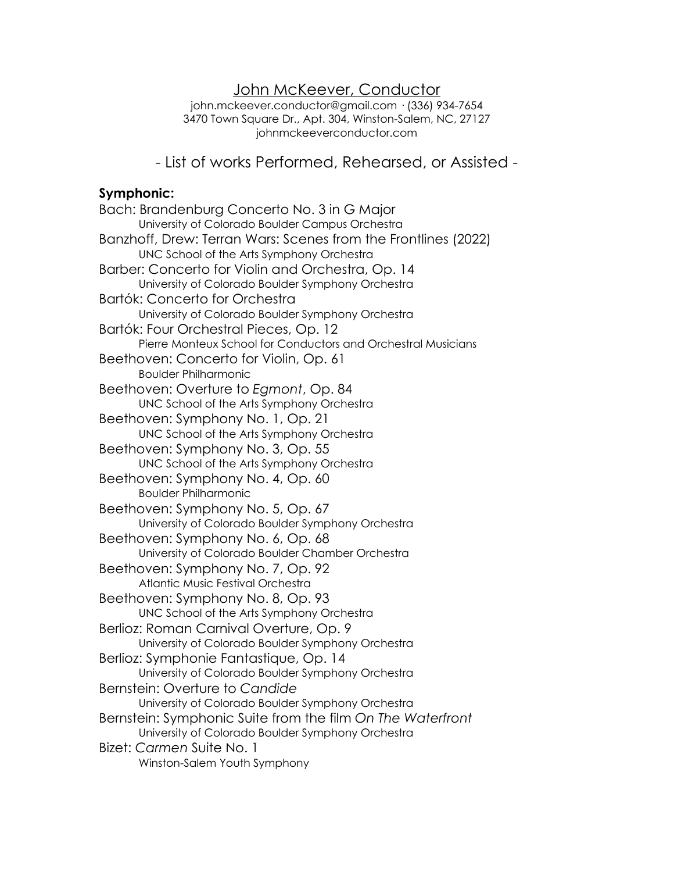### John McKeever, Conductor

john.mckeever.conductor@gmail.com · (336) 934-7654 3470 Town Square Dr., Apt. 304, Winston-Salem, NC, 27127 johnmckeeverconductor.com

- List of works Performed, Rehearsed, or Assisted -

#### **Symphonic:**

Bach: Brandenburg Concerto No. 3 in G Major University of Colorado Boulder Campus Orchestra Banzhoff, Drew: Terran Wars: Scenes from the Frontlines (2022) UNC School of the Arts Symphony Orchestra Barber: Concerto for Violin and Orchestra, Op. 14 University of Colorado Boulder Symphony Orchestra Bartók: Concerto for Orchestra University of Colorado Boulder Symphony Orchestra Bartók: Four Orchestral Pieces, Op. 12 Pierre Monteux School for Conductors and Orchestral Musicians Beethoven: Concerto for Violin, Op. 61 Boulder Philharmonic Beethoven: Overture to *Egmont*, Op. 84 UNC School of the Arts Symphony Orchestra Beethoven: Symphony No. 1, Op. 21 UNC School of the Arts Symphony Orchestra Beethoven: Symphony No. 3, Op. 55 UNC School of the Arts Symphony Orchestra Beethoven: Symphony No. 4, Op. 60 Boulder Philharmonic Beethoven: Symphony No. 5, Op. 67 University of Colorado Boulder Symphony Orchestra Beethoven: Symphony No. 6, Op. 68 University of Colorado Boulder Chamber Orchestra Beethoven: Symphony No. 7, Op. 92 Atlantic Music Festival Orchestra Beethoven: Symphony No. 8, Op. 93 UNC School of the Arts Symphony Orchestra Berlioz: Roman Carnival Overture, Op. 9 University of Colorado Boulder Symphony Orchestra Berlioz: Symphonie Fantastique, Op. 14 University of Colorado Boulder Symphony Orchestra Bernstein: Overture to *Candide* University of Colorado Boulder Symphony Orchestra Bernstein: Symphonic Suite from the film *On The Waterfront* University of Colorado Boulder Symphony Orchestra Bizet: *Carmen* Suite No. 1 Winston-Salem Youth Symphony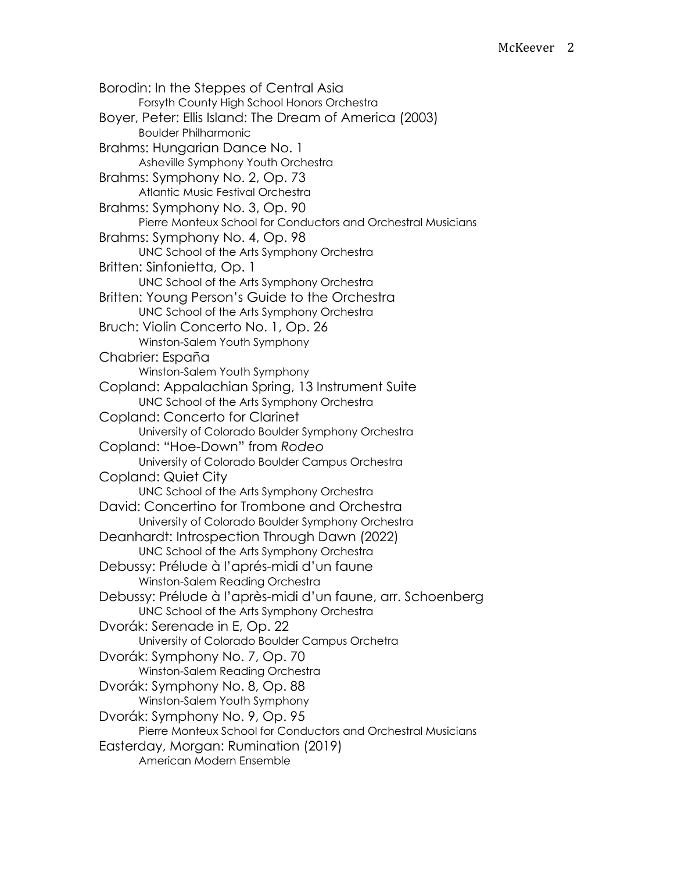Borodin: In the Steppes of Central Asia Forsyth County High School Honors Orchestra Boyer, Peter: Ellis Island: The Dream of America (2003) Boulder Philharmonic Brahms: Hungarian Dance No. 1 Asheville Symphony Youth Orchestra Brahms: Symphony No. 2, Op. 73 Atlantic Music Festival Orchestra Brahms: Symphony No. 3, Op. 90 Pierre Monteux School for Conductors and Orchestral Musicians Brahms: Symphony No. 4, Op. 98 UNC School of the Arts Symphony Orchestra Britten: Sinfonietta, Op. 1 UNC School of the Arts Symphony Orchestra Britten: Young Person's Guide to the Orchestra UNC School of the Arts Symphony Orchestra Bruch: Violin Concerto No. 1, Op. 26 Winston-Salem Youth Symphony Chabrier: España Winston-Salem Youth Symphony Copland: Appalachian Spring, 13 Instrument Suite UNC School of the Arts Symphony Orchestra Copland: Concerto for Clarinet University of Colorado Boulder Symphony Orchestra Copland: "Hoe-Down" from *Rodeo* University of Colorado Boulder Campus Orchestra Copland: Quiet City UNC School of the Arts Symphony Orchestra David: Concertino for Trombone and Orchestra University of Colorado Boulder Symphony Orchestra Deanhardt: Introspection Through Dawn (2022) UNC School of the Arts Symphony Orchestra Debussy: Prélude à l'aprés-midi d'un faune Winston-Salem Reading Orchestra Debussy: Prélude à l'après-midi d'un faune, arr. Schoenberg UNC School of the Arts Symphony Orchestra Dvorák: Serenade in E, Op. 22 University of Colorado Boulder Campus Orchetra Dvorák: Symphony No. 7, Op. 70 Winston-Salem Reading Orchestra Dvorák: Symphony No. 8, Op. 88 Winston-Salem Youth Symphony Dvorák: Symphony No. 9, Op. 95 Pierre Monteux School for Conductors and Orchestral Musicians Easterday, Morgan: Rumination (2019) American Modern Ensemble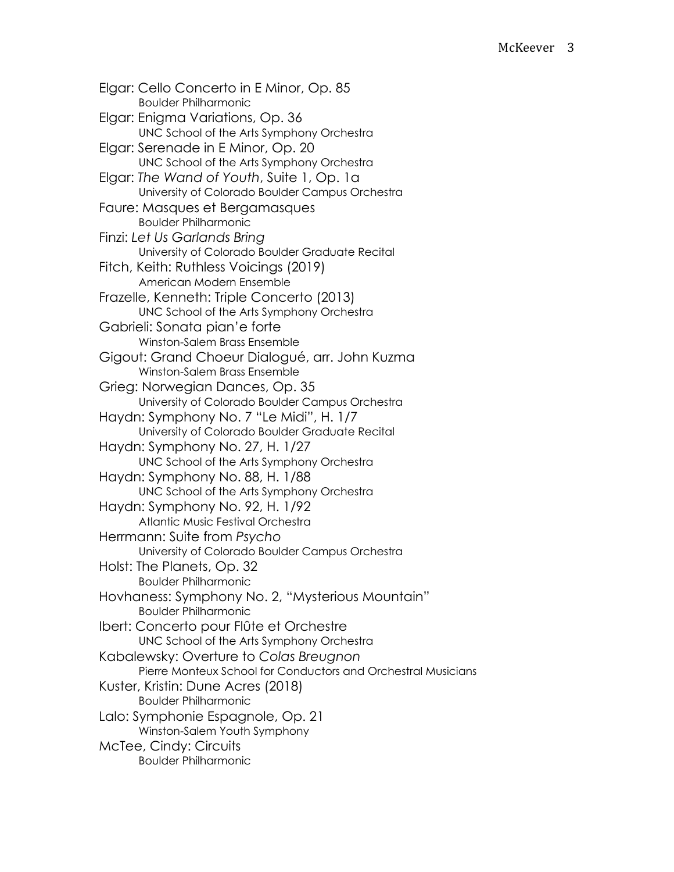Elgar: Cello Concerto in E Minor, Op. 85 Boulder Philharmonic Elgar: Enigma Variations, Op. 36 UNC School of the Arts Symphony Orchestra Elgar: Serenade in E Minor, Op. 20 UNC School of the Arts Symphony Orchestra Elgar: *The Wand of Youth*, Suite 1, Op. 1a University of Colorado Boulder Campus Orchestra Faure: Masques et Bergamasques Boulder Philharmonic Finzi: *Let Us Garlands Bring* University of Colorado Boulder Graduate Recital Fitch, Keith: Ruthless Voicings (2019) American Modern Ensemble Frazelle, Kenneth: Triple Concerto (2013) UNC School of the Arts Symphony Orchestra Gabrieli: Sonata pian'e forte Winston-Salem Brass Ensemble Gigout: Grand Choeur Dialogué, arr. John Kuzma Winston-Salem Brass Ensemble Grieg: Norwegian Dances, Op. 35 University of Colorado Boulder Campus Orchestra Haydn: Symphony No. 7 "Le Midi", H. 1/7 University of Colorado Boulder Graduate Recital Haydn: Symphony No. 27, H. 1/27 UNC School of the Arts Symphony Orchestra Haydn: Symphony No. 88, H. 1/88 UNC School of the Arts Symphony Orchestra Haydn: Symphony No. 92, H. 1/92 Atlantic Music Festival Orchestra Herrmann: Suite from *Psycho* University of Colorado Boulder Campus Orchestra Holst: The Planets, Op. 32 Boulder Philharmonic Hovhaness: Symphony No. 2, "Mysterious Mountain" Boulder Philharmonic Ibert: Concerto pour Flûte et Orchestre UNC School of the Arts Symphony Orchestra Kabalewsky: Overture to *Colas Breugnon* Pierre Monteux School for Conductors and Orchestral Musicians Kuster, Kristin: Dune Acres (2018) Boulder Philharmonic Lalo: Symphonie Espagnole, Op. 21 Winston-Salem Youth Symphony McTee, Cindy: Circuits Boulder Philharmonic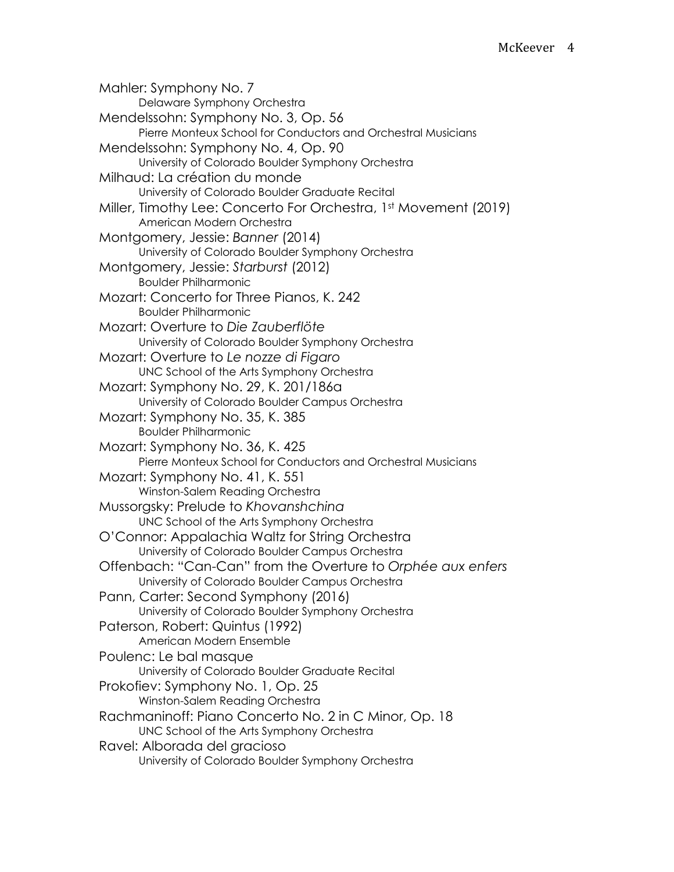Mahler: Symphony No. 7 Delaware Symphony Orchestra Mendelssohn: Symphony No. 3, Op. 56 Pierre Monteux School for Conductors and Orchestral Musicians Mendelssohn: Symphony No. 4, Op. 90 University of Colorado Boulder Symphony Orchestra Milhaud: La création du monde University of Colorado Boulder Graduate Recital Miller, Timothy Lee: Concerto For Orchestra, 1st Movement (2019) American Modern Orchestra Montgomery, Jessie: *Banner* (2014) University of Colorado Boulder Symphony Orchestra Montgomery, Jessie: *Starburst* (2012) Boulder Philharmonic Mozart: Concerto for Three Pianos, K. 242 Boulder Philharmonic Mozart: Overture to *Die Zauberflöte* University of Colorado Boulder Symphony Orchestra Mozart: Overture to *Le nozze di Figaro* UNC School of the Arts Symphony Orchestra Mozart: Symphony No. 29, K. 201/186a University of Colorado Boulder Campus Orchestra Mozart: Symphony No. 35, K. 385 Boulder Philharmonic Mozart: Symphony No. 36, K. 425 Pierre Monteux School for Conductors and Orchestral Musicians Mozart: Symphony No. 41, K. 551 Winston-Salem Reading Orchestra Mussorgsky: Prelude to *Khovanshchina* UNC School of the Arts Symphony Orchestra O'Connor: Appalachia Waltz for String Orchestra University of Colorado Boulder Campus Orchestra Offenbach: "Can-Can" from the Overture to *Orphée aux enfers* University of Colorado Boulder Campus Orchestra Pann, Carter: Second Symphony (2016) University of Colorado Boulder Symphony Orchestra Paterson, Robert: Quintus (1992) American Modern Ensemble Poulenc: Le bal masque University of Colorado Boulder Graduate Recital Prokofiev: Symphony No. 1, Op. 25 Winston-Salem Reading Orchestra Rachmaninoff: Piano Concerto No. 2 in C Minor, Op. 18 UNC School of the Arts Symphony Orchestra Ravel: Alborada del gracioso University of Colorado Boulder Symphony Orchestra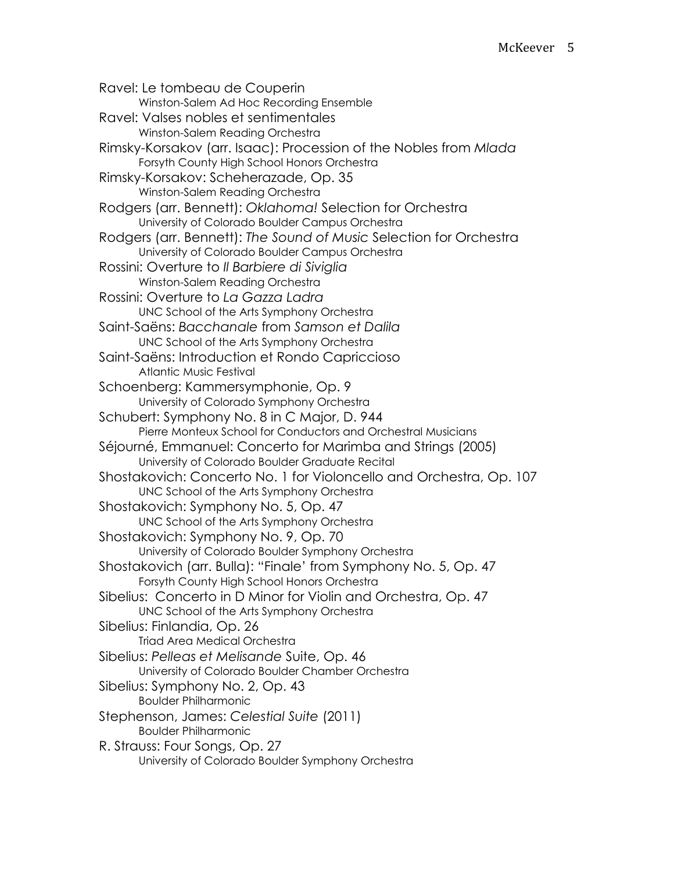Ravel: Le tombeau de Couperin Winston-Salem Ad Hoc Recording Ensemble Ravel: Valses nobles et sentimentales Winston-Salem Reading Orchestra Rimsky-Korsakov (arr. Isaac): Procession of the Nobles from *Mlada* Forsyth County High School Honors Orchestra Rimsky-Korsakov: Scheherazade, Op. 35 Winston-Salem Reading Orchestra Rodgers (arr. Bennett): *Oklahoma!* Selection for Orchestra University of Colorado Boulder Campus Orchestra Rodgers (arr. Bennett): *The Sound of Music* Selection for Orchestra University of Colorado Boulder Campus Orchestra Rossini: Overture to *Il Barbiere di Siviglia* Winston-Salem Reading Orchestra Rossini: Overture to *La Gazza Ladra* UNC School of the Arts Symphony Orchestra Saint-Saëns: *Bacchanale* from *Samson et Dalila* UNC School of the Arts Symphony Orchestra Saint-Saëns: Introduction et Rondo Capriccioso Atlantic Music Festival Schoenberg: Kammersymphonie, Op. 9 University of Colorado Symphony Orchestra Schubert: Symphony No. 8 in C Major, D. 944 Pierre Monteux School for Conductors and Orchestral Musicians Séjourné, Emmanuel: Concerto for Marimba and Strings (2005) University of Colorado Boulder Graduate Recital Shostakovich: Concerto No. 1 for Violoncello and Orchestra, Op. 107 UNC School of the Arts Symphony Orchestra Shostakovich: Symphony No. 5, Op. 47 UNC School of the Arts Symphony Orchestra Shostakovich: Symphony No. 9, Op. 70 University of Colorado Boulder Symphony Orchestra Shostakovich (arr. Bulla): "Finale' from Symphony No. 5, Op. 47 Forsyth County High School Honors Orchestra Sibelius: Concerto in D Minor for Violin and Orchestra, Op. 47 UNC School of the Arts Symphony Orchestra Sibelius: Finlandia, Op. 26 Triad Area Medical Orchestra Sibelius: *Pelleas et Melisande* Suite, Op. 46 University of Colorado Boulder Chamber Orchestra Sibelius: Symphony No. 2, Op. 43 Boulder Philharmonic Stephenson, James: *Celestial Suite* (2011) Boulder Philharmonic R. Strauss: Four Songs, Op. 27 University of Colorado Boulder Symphony Orchestra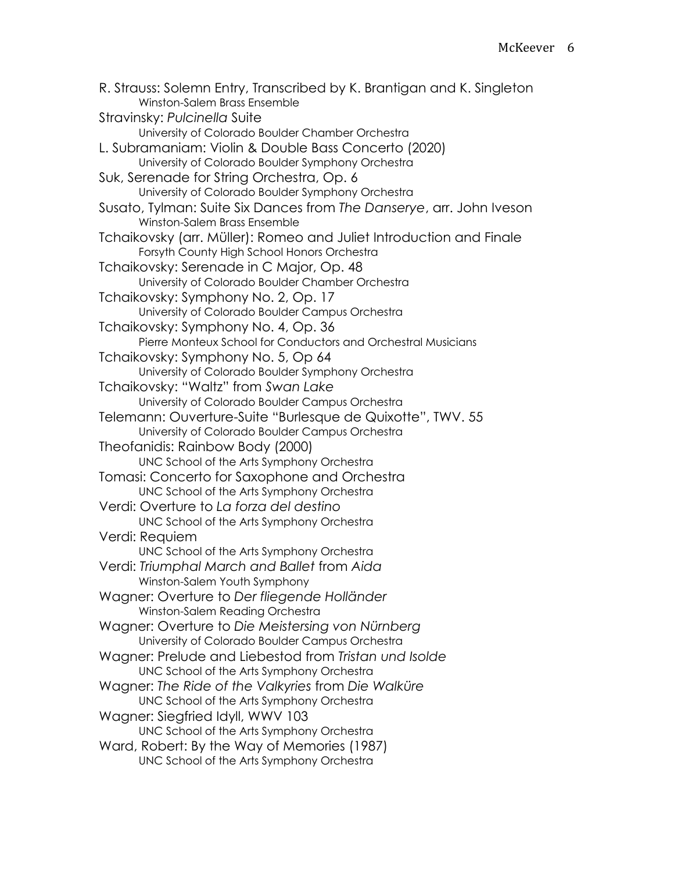R. Strauss: Solemn Entry, Transcribed by K. Brantigan and K. Singleton Winston-Salem Brass Ensemble Stravinsky: *Pulcinella* Suite University of Colorado Boulder Chamber Orchestra L. Subramaniam: Violin & Double Bass Concerto (2020) University of Colorado Boulder Symphony Orchestra Suk, Serenade for String Orchestra, Op. 6 University of Colorado Boulder Symphony Orchestra Susato, Tylman: Suite Six Dances from *The Danserye*, arr. John Iveson Winston-Salem Brass Ensemble Tchaikovsky (arr. Müller): Romeo and Juliet Introduction and Finale Forsyth County High School Honors Orchestra Tchaikovsky: Serenade in C Major, Op. 48 University of Colorado Boulder Chamber Orchestra Tchaikovsky: Symphony No. 2, Op. 17 University of Colorado Boulder Campus Orchestra Tchaikovsky: Symphony No. 4, Op. 36 Pierre Monteux School for Conductors and Orchestral Musicians Tchaikovsky: Symphony No. 5, Op 64 University of Colorado Boulder Symphony Orchestra Tchaikovsky: "Waltz" from *Swan Lake* University of Colorado Boulder Campus Orchestra Telemann: Ouverture-Suite "Burlesque de Quixotte", TWV. 55 University of Colorado Boulder Campus Orchestra Theofanidis: Rainbow Body (2000) UNC School of the Arts Symphony Orchestra Tomasi: Concerto for Saxophone and Orchestra UNC School of the Arts Symphony Orchestra Verdi: Overture to *La forza del destino* UNC School of the Arts Symphony Orchestra Verdi: Requiem UNC School of the Arts Symphony Orchestra Verdi: *Triumphal March and Ballet* from *Aida* Winston-Salem Youth Symphony Wagner: Overture to *Der fliegende Holländer* Winston-Salem Reading Orchestra Wagner: Overture to *Die Meistersing von Nürnberg* University of Colorado Boulder Campus Orchestra Wagner: Prelude and Liebestod from *Tristan und Isolde* UNC School of the Arts Symphony Orchestra Wagner: *The Ride of the Valkyries* from *Die Walküre* UNC School of the Arts Symphony Orchestra Wagner: Siegfried Idyll, WWV 103 UNC School of the Arts Symphony Orchestra Ward, Robert: By the Way of Memories (1987) UNC School of the Arts Symphony Orchestra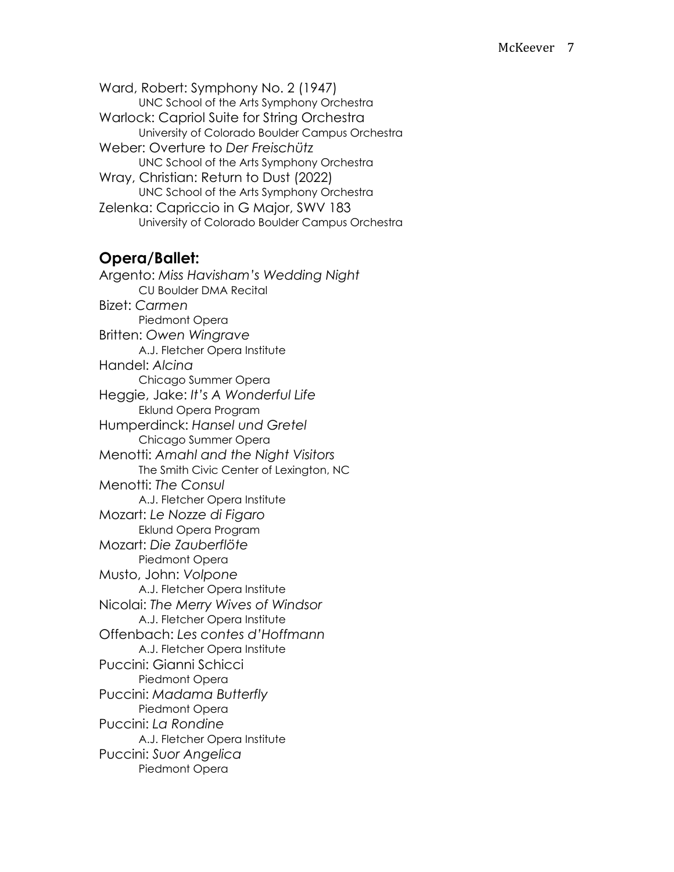Ward, Robert: Symphony No. 2 (1947) UNC School of the Arts Symphony Orchestra Warlock: Capriol Suite for String Orchestra University of Colorado Boulder Campus Orchestra Weber: Overture to *Der Freischütz* UNC School of the Arts Symphony Orchestra Wray, Christian: Return to Dust (2022) UNC School of the Arts Symphony Orchestra Zelenka: Capriccio in G Major, SWV 183 University of Colorado Boulder Campus Orchestra

# **Opera/Ballet:**

Argento: *Miss Havisham's Wedding Night* CU Boulder DMA Recital Bizet: *Carmen* Piedmont Opera Britten: *Owen Wingrave* A.J. Fletcher Opera Institute Handel: *Alcina* Chicago Summer Opera Heggie, Jake: *It's A Wonderful Life* Eklund Opera Program Humperdinck: *Hansel und Gretel* Chicago Summer Opera Menotti: *Amahl and the Night Visitors* The Smith Civic Center of Lexington, NC Menotti: *The Consul* A.J. Fletcher Opera Institute Mozart: *Le Nozze di Figaro* Eklund Opera Program Mozart: *Die Zauberflöte* Piedmont Opera Musto, John: *Volpone* A.J. Fletcher Opera Institute Nicolai: *The Merry Wives of Windsor* A.J. Fletcher Opera Institute Offenbach: *Les contes d'Hoffmann* A.J. Fletcher Opera Institute Puccini: Gianni Schicci Piedmont Opera Puccini: *Madama Butterfly* Piedmont Opera Puccini: *La Rondine* A.J. Fletcher Opera Institute Puccini: *Suor Angelica* Piedmont Opera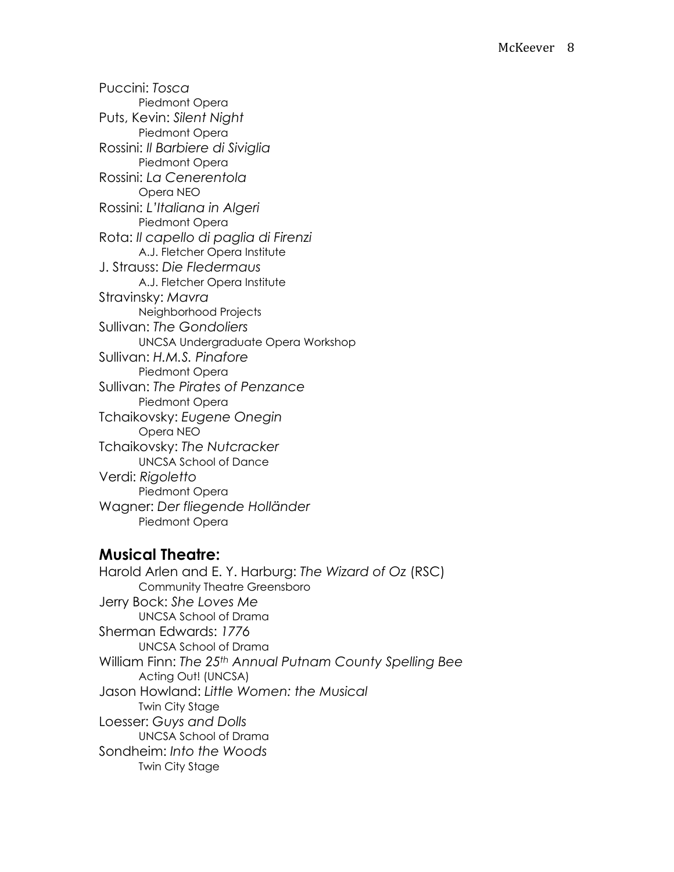Puccini: *Tosca* Piedmont Opera Puts, Kevin: *Silent Night* Piedmont Opera Rossini: *Il Barbiere di Siviglia* Piedmont Opera Rossini: *La Cenerentola* Opera NEO Rossini: *L'Italiana in Algeri* Piedmont Opera Rota: *Il capello di paglia di Firenzi* A.J. Fletcher Opera Institute J. Strauss: *Die Fledermaus* A.J. Fletcher Opera Institute Stravinsky: *Mavra* Neighborhood Projects Sullivan: *The Gondoliers* UNCSA Undergraduate Opera Workshop Sullivan: *H.M.S. Pinafore* Piedmont Opera Sullivan: *The Pirates of Penzance* Piedmont Opera Tchaikovsky: *Eugene Onegin* Opera NEO Tchaikovsky: *The Nutcracker* UNCSA School of Dance Verdi: *Rigoletto* Piedmont Opera Wagner: *Der fliegende Holländer* Piedmont Opera

# **Musical Theatre:**

Harold Arlen and E. Y. Harburg: *The Wizard of Oz* (RSC) Community Theatre Greensboro Jerry Bock: *She Loves Me* UNCSA School of Drama Sherman Edwards: *1776* UNCSA School of Drama William Finn: *The 25th Annual Putnam County Spelling Bee* Acting Out! (UNCSA) Jason Howland: *Little Women: the Musical* Twin City Stage Loesser: *Guys and Dolls* UNCSA School of Drama Sondheim: *Into the Woods* Twin City Stage